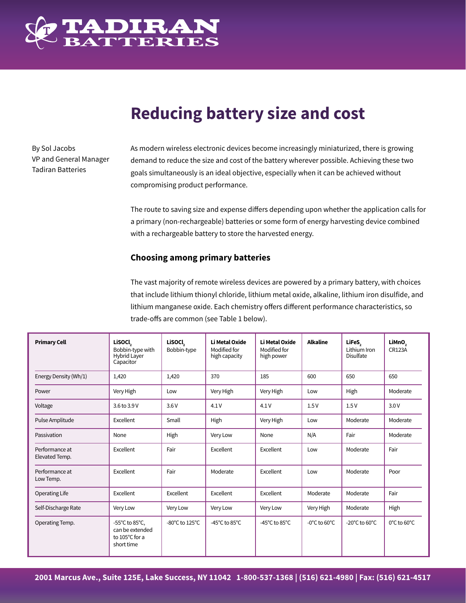

# **Reducing battery size and cost**

By Sol Jacobs VP and General Manager Tadiran Batteries

As modern wireless electronic devices become increasingly miniaturized, there is growing demand to reduce the size and cost of the battery wherever possible. Achieving these two goals simultaneously is an ideal objective, especially when it can be achieved without compromising product performance.

The route to saving size and expense differs depending upon whether the application calls for a primary (non-rechargeable) batteries or some form of energy harvesting device combined with a rechargeable battery to store the harvested energy.

# **Choosing among primary batteries**

The vast majority of remote wireless devices are powered by a primary battery, with choices that include lithium thionyl chloride, lithium metal oxide, alkaline, lithium iron disulfide, and lithium manganese oxide. Each chemistry offers different performance characteristics, so trade-offs are common (see Table 1 below).

| <b>Primary Cell</b>              | <b>LiSOCL</b><br>Bobbin-type with<br><b>Hybrid Layer</b><br>Capacitor                   | <b>Lisocl</b><br>Bobbin-type         | Li Metal Oxide<br>Modified for<br>high capacity | Li Metal Oxide<br>Modified for<br>high power | <b>Alkaline</b>                   | LiFeS,<br>Lithium Iron<br>Disulfate | LiMnO <sub>2</sub><br><b>CR123A</b> |
|----------------------------------|-----------------------------------------------------------------------------------------|--------------------------------------|-------------------------------------------------|----------------------------------------------|-----------------------------------|-------------------------------------|-------------------------------------|
| Energy Density (Wh/1)            | 1,420                                                                                   | 1,420                                | 370                                             | 185                                          | 600                               | 650                                 | 650                                 |
| Power                            | Very High                                                                               | Low                                  | Very High                                       | Very High                                    | Low                               | High                                | Moderate                            |
| Voltage                          | 3.6 to 3.9 V                                                                            | 3.6V                                 | 4.1V                                            | 4.1V                                         | 1.5V                              | 1.5V                                | 3.0V                                |
| Pulse Amplitude                  | Excellent                                                                               | Small                                | High                                            | Very High                                    | Low                               | Moderate                            | Moderate                            |
| Passivation                      | None                                                                                    | High                                 | Very Low                                        | None                                         | N/A                               | Fair                                | Moderate                            |
| Performance at<br>Elevated Temp. | Excellent                                                                               | Fair                                 | Excellent                                       | Excellent                                    | Low                               | Moderate                            | Fair                                |
| Performance at<br>Low Temp.      | Excellent                                                                               | Fair                                 | Moderate                                        | Excellent                                    | Low                               | Moderate                            | Poor                                |
| Operating Life                   | Excellent                                                                               | Excellent                            | Excellent                                       | Excellent                                    | Moderate                          | Moderate                            | Fair                                |
| Self-Discharge Rate              | Very Low                                                                                | Very Low                             | Very Low                                        | Very Low                                     | Very High                         | Moderate                            | High                                |
| Operating Temp.                  | -55 $^{\circ}$ C to 85 $^{\circ}$ C,<br>can be extended<br>to 105°C for a<br>short time | -80 $^{\circ}$ C to 125 $^{\circ}$ C | -45 $^{\circ}$ C to 85 $^{\circ}$ C             | -45 $^{\circ}$ C to 85 $^{\circ}$ C          | $-0^{\circ}$ C to 60 $^{\circ}$ C | -20 $^{\circ}$ C to 60 $^{\circ}$ C | 0°C to 60°C                         |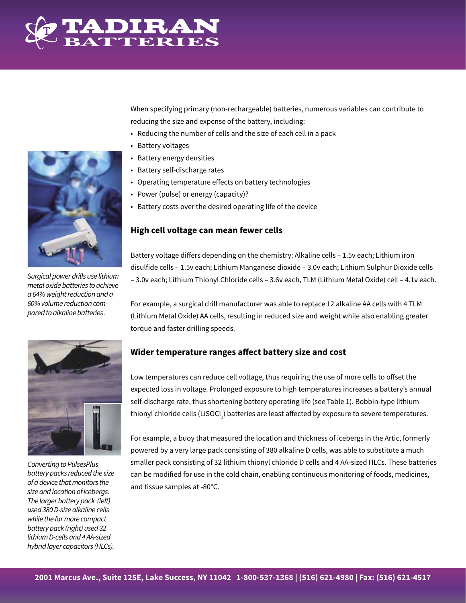

When specifying primary (non-rechargeable) batteries, numerous variables can contribute to reducing the size and expense of the battery, including:

- Reducing the number of cells and the size of each cell in a pack
- Battery voltages
- Battery energy densities
- Battery self-discharge rates
- Operating temperature effects on battery technologies
- Power (pulse) or energy (capacity)?
- Battery costs over the desired operating life of the device

# **High cell voltage can mean fewer cells**

Battery voltage differs depending on the chemistry: Alkaline cells – 1.5v each; Lithium iron disulfide cells – 1.5v each; Lithium Manganese dioxide – 3.0v each; Lithium Sulphur Dioxide cells – 3.0v each; Lithium Thionyl Chloride cells – 3.6v each, TLM (Lithium Metal Oxide) cell – 4.1v each.

For example, a surgical drill manufacturer was able to replace 12 alkaline AA cells with 4 TLM (Lithium Metal Oxide) AA cells, resulting in reduced size and weight while also enabling greater torque and faster drilling speeds.

# **Wider temperature ranges affect battery size and cost**

Low temperatures can reduce cell voltage, thus requiring the use of more cells to offset the expected loss in voltage. Prolonged exposure to high temperatures increases a battery's annual self-discharge rate, thus shortening battery operating life (see Table 1). Bobbin-type lithium thionyl chloride cells (LiSOCl<sub>2</sub>) batteries are least affected by exposure to severe temperatures.

For example, a buoy that measured the location and thickness of icebergs in the Artic, formerly powered by a very large pack consisting of 380 alkaline D cells, was able to substitute a much smaller pack consisting of 32 lithium thionyl chloride D cells and 4 AA-sized HLCs. These batteries can be modified for use in the cold chain, enabling continuous monitoring of foods, medicines, and tissue samples at -80°C.



*Surgical power drills use lithium metal oxide batteries to achieve a 64% weight reduction and a 60% volume reduction compared to alkaline batteries .*



*Converting to PulsesPlus battery packs reduced the size of a device that monitors the size and location of icebergs. The larger battery pack (left) used 380 D-size alkaline cells while the far more compact battery pack (right) used 32 lithium D-cells and 4 AA-sized hybrid layer capacitors (HLCs).*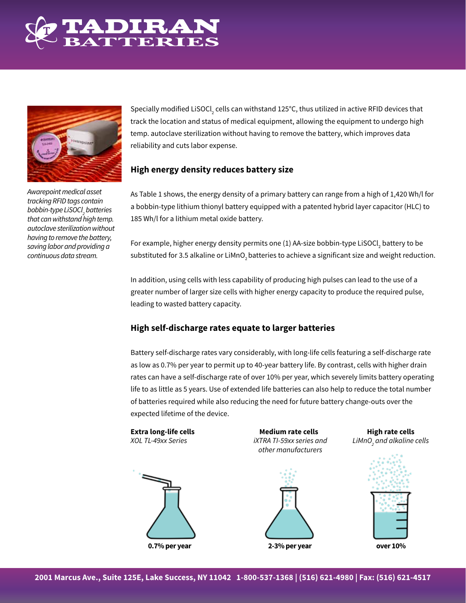



*Awarepoint medical asset tracking RFID tags contain bobbin-type LiSOCl2 batteries that can withstand high temp. autoclave sterilization without having to remove the battery, saving labor and providing a continuous data stream.*

Specially modified LiSOCl<sub>2</sub> cells can withstand 125°C, thus utilized in active RFID devices that track the location and status of medical equipment, allowing the equipment to undergo high temp. autoclave sterilization without having to remove the battery, which improves data reliability and cuts labor expense.

# **High energy density reduces battery size**

As Table 1 shows, the energy density of a primary battery can range from a high of 1,420 Wh/l for a bobbin-type lithium thionyl battery equipped with a patented hybrid layer capacitor (HLC) to 185 Wh/l for a lithium metal oxide battery.

For example, higher energy density permits one (1) AA-size bobbin-type LiSOCl $_2$  battery to be substituted for 3.5 alkaline or LiMnO<sub>2</sub> batteries to achieve a significant size and weight reduction.

In addition, using cells with less capability of producing high pulses can lead to the use of a greater number of larger size cells with higher energy capacity to produce the required pulse, leading to wasted battery capacity.

# **High self-discharge rates equate to larger batteries**

Battery self-discharge rates vary considerably, with long-life cells featuring a self-discharge rate as low as 0.7% per year to permit up to 40-year battery life. By contrast, cells with higher drain rates can have a self-discharge rate of over 10% per year, which severely limits battery operating life to as little as 5 years. Use of extended life batteries can also help to reduce the total number of batteries required while also reducing the need for future battery change-outs over the expected lifetime of the device.



*other manufacturers*

*iXTRA TI-59xx series and* 



**Extra long-life cells**<br> *XOL TL-49xx Series* **Medium rate cells**<br> *XOL TL-49xx Series* **Medium and** *Altaline iXTRA TI-59xx series and <i>LIMnO and alkaline* LiMnO<sub>s</sub> and alkaline cells

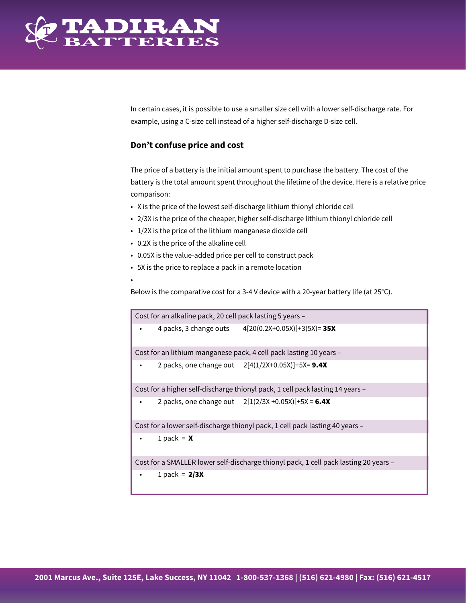

•

In certain cases, it is possible to use a smaller size cell with a lower self-discharge rate. For example, using a C-size cell instead of a higher self-discharge D-size cell.

### **Don't confuse price and cost**

The price of a battery is the initial amount spent to purchase the battery. The cost of the battery is the total amount spent throughout the lifetime of the device. Here is a relative price comparison:

- X is the price of the lowest self-discharge lithium thionyl chloride cell
- 2/3X is the price of the cheaper, higher self-discharge lithium thionyl chloride cell
- 1/2X is the price of the lithium manganese dioxide cell
- 0.2X is the price of the alkaline cell
- 0.05X is the value-added price per cell to construct pack
- 5X is the price to replace a pack in a remote location

Below is the comparative cost for a 3-4 V device with a 20-year battery life (at 25°C).

Cost for an alkaline pack, 20 cell pack lasting 5 years –

4 packs, 3 change outs 4[20(0.2X+0.05X)]+3(5X)= 35X

Cost for an lithium manganese pack, 4 cell pack lasting 10 years –

• 2 packs, one change out  $2[4(1/2X+0.05X)]+5X=9.4X$ 

Cost for a higher self-discharge thionyl pack, 1 cell pack lasting 14 years –

2 packs, one change out  $2[1(2/3X + 0.05X)] + 5X = 6.4X$ 

Cost for a lower self-discharge thionyl pack, 1 cell pack lasting 40 years –

1 pack =  $\boldsymbol{x}$ 

Cost for a SMALLER lower self-discharge thionyl pack, 1 cell pack lasting 20 years –

1 pack =  $2/3X$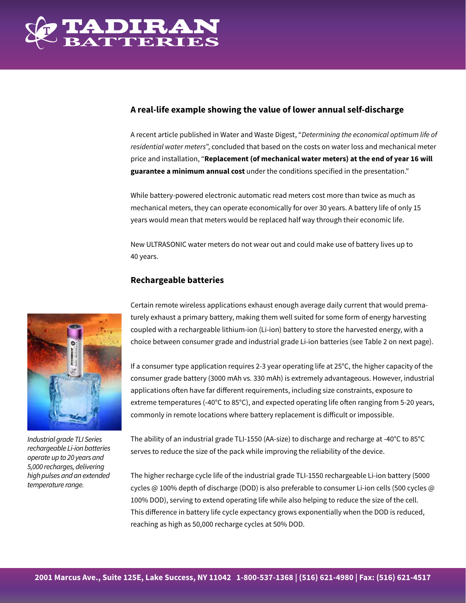

# **A real-life example showing the value of lower annual self-discharge**

A recent article published in Water and Waste Digest, "*Determining the economical optimum life of residential water meters*", concluded that based on the costs on water loss and mechanical meter price and installation, "**Replacement (of mechanical water meters) at the end of year 16 will guarantee a minimum annual cost** under the conditions specified in the presentation."

While battery-powered electronic automatic read meters cost more than twice as much as mechanical meters, they can operate economically for over 30 years. A battery life of only 15 years would mean that meters would be replaced half way through their economic life.

New ULTRASONIC water meters do not wear out and could make use of battery lives up to 40 years.

# **Rechargeable batteries**

*Industrial grade TLI Series rechargeable Li-ion batteries operate up to 20 years and 5,000 recharges, delivering high pulses and an extended temperature range.*

Certain remote wireless applications exhaust enough average daily current that would prematurely exhaust a primary battery, making them well suited for some form of energy harvesting coupled with a rechargeable lithium-ion (Li-ion) battery to store the harvested energy, with a choice between consumer grade and industrial grade Li-ion batteries (see Table 2 on next page).

If a consumer type application requires 2-3 year operating life at 25°C, the higher capacity of the consumer grade battery (3000 mAh vs. 330 mAh) is extremely advantageous. However, industrial applications often have far different requirements, including size constraints, exposure to extreme temperatures (-40°C to 85°C), and expected operating life often ranging from 5-20 years, commonly in remote locations where battery replacement is difficult or impossible.

The ability of an industrial grade TLI-1550 (AA-size) to discharge and recharge at -40°C to 85°C serves to reduce the size of the pack while improving the reliability of the device.

The higher recharge cycle life of the industrial grade TLI-1550 rechargeable Li-ion battery (5000 cycles @ 100% depth of discharge (DOD) is also preferable to consumer Li-ion cells (500 cycles @ 100% DOD), serving to extend operating life while also helping to reduce the size of the cell. This difference in battery life cycle expectancy grows exponentially when the DOD is reduced, reaching as high as 50,000 recharge cycles at 50% DOD.